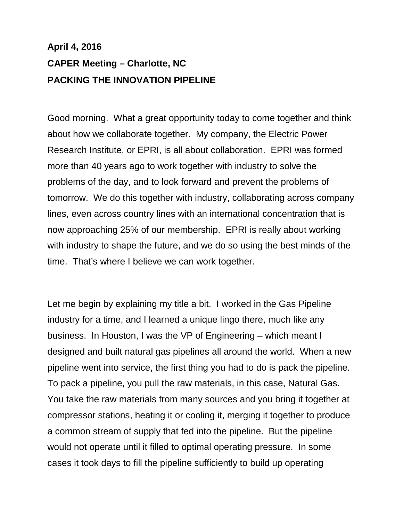## **April 4, 2016 CAPER Meeting – Charlotte, NC PACKING THE INNOVATION PIPELINE**

Good morning. What a great opportunity today to come together and think about how we collaborate together. My company, the Electric Power Research Institute, or EPRI, is all about collaboration. EPRI was formed more than 40 years ago to work together with industry to solve the problems of the day, and to look forward and prevent the problems of tomorrow. We do this together with industry, collaborating across company lines, even across country lines with an international concentration that is now approaching 25% of our membership. EPRI is really about working with industry to shape the future, and we do so using the best minds of the time. That's where I believe we can work together.

Let me begin by explaining my title a bit. I worked in the Gas Pipeline industry for a time, and I learned a unique lingo there, much like any business. In Houston, I was the VP of Engineering – which meant I designed and built natural gas pipelines all around the world. When a new pipeline went into service, the first thing you had to do is pack the pipeline. To pack a pipeline, you pull the raw materials, in this case, Natural Gas. You take the raw materials from many sources and you bring it together at compressor stations, heating it or cooling it, merging it together to produce a common stream of supply that fed into the pipeline. But the pipeline would not operate until it filled to optimal operating pressure. In some cases it took days to fill the pipeline sufficiently to build up operating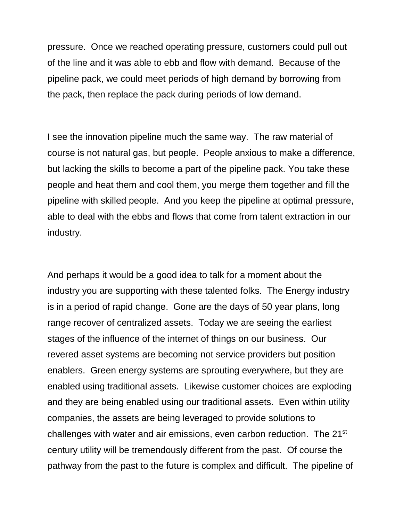pressure. Once we reached operating pressure, customers could pull out of the line and it was able to ebb and flow with demand. Because of the pipeline pack, we could meet periods of high demand by borrowing from the pack, then replace the pack during periods of low demand.

I see the innovation pipeline much the same way. The raw material of course is not natural gas, but people. People anxious to make a difference, but lacking the skills to become a part of the pipeline pack. You take these people and heat them and cool them, you merge them together and fill the pipeline with skilled people. And you keep the pipeline at optimal pressure, able to deal with the ebbs and flows that come from talent extraction in our industry.

And perhaps it would be a good idea to talk for a moment about the industry you are supporting with these talented folks. The Energy industry is in a period of rapid change. Gone are the days of 50 year plans, long range recover of centralized assets. Today we are seeing the earliest stages of the influence of the internet of things on our business. Our revered asset systems are becoming not service providers but position enablers. Green energy systems are sprouting everywhere, but they are enabled using traditional assets. Likewise customer choices are exploding and they are being enabled using our traditional assets. Even within utility companies, the assets are being leveraged to provide solutions to challenges with water and air emissions, even carbon reduction. The 21st century utility will be tremendously different from the past. Of course the pathway from the past to the future is complex and difficult. The pipeline of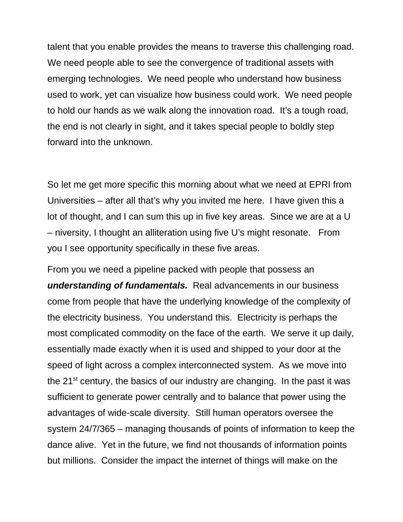talent that you enable provides the means to traverse this challenging road. We need people able to see the convergence of traditional assets with emerging technologies. We need people who understand how business used to work, yet can visualize how business could work. We need people to hold our hands as we walk along the innovation road. It's a tough road, the end is not clearly in sight, and it takes special people to boldly step forward into the unknown.

So let me get more specific this morning about what we need at EPRI from Universities – after all that's why you invited me here. I have given this a lot of thought, and I can sum this up in five key areas. Since we are at a U – niversity, I thought an alliteration using five U's might resonate. From you I see opportunity specifically in these five areas.

From you we need a pipeline packed with people that possess an *understanding of fundamentals.* Real advancements in our business come from people that have the underlying knowledge of the complexity of the electricity business. You understand this. Electricity is perhaps the most complicated commodity on the face of the earth. We serve it up daily, essentially made exactly when it is used and shipped to your door at the speed of light across a complex interconnected system. As we move into the 21<sup>st</sup> century, the basics of our industry are changing. In the past it was sufficient to generate power centrally and to balance that power using the advantages of wide-scale diversity. Still human operators oversee the system 24/7/365 – managing thousands of points of information to keep the dance alive. Yet in the future, we find not thousands of information points but millions. Consider the impact the internet of things will make on the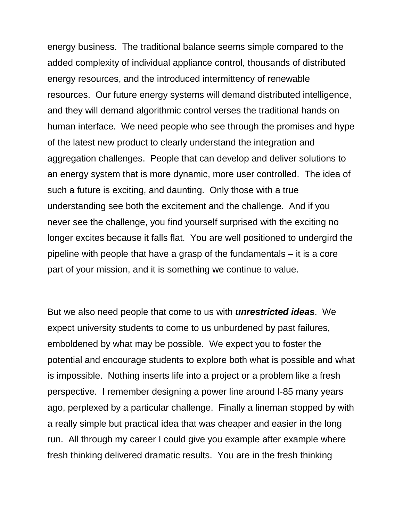energy business. The traditional balance seems simple compared to the added complexity of individual appliance control, thousands of distributed energy resources, and the introduced intermittency of renewable resources. Our future energy systems will demand distributed intelligence, and they will demand algorithmic control verses the traditional hands on human interface. We need people who see through the promises and hype of the latest new product to clearly understand the integration and aggregation challenges. People that can develop and deliver solutions to an energy system that is more dynamic, more user controlled. The idea of such a future is exciting, and daunting. Only those with a true understanding see both the excitement and the challenge. And if you never see the challenge, you find yourself surprised with the exciting no longer excites because it falls flat. You are well positioned to undergird the pipeline with people that have a grasp of the fundamentals – it is a core part of your mission, and it is something we continue to value.

But we also need people that come to us with *unrestricted ideas*. We expect university students to come to us unburdened by past failures, emboldened by what may be possible. We expect you to foster the potential and encourage students to explore both what is possible and what is impossible. Nothing inserts life into a project or a problem like a fresh perspective. I remember designing a power line around I-85 many years ago, perplexed by a particular challenge. Finally a lineman stopped by with a really simple but practical idea that was cheaper and easier in the long run. All through my career I could give you example after example where fresh thinking delivered dramatic results. You are in the fresh thinking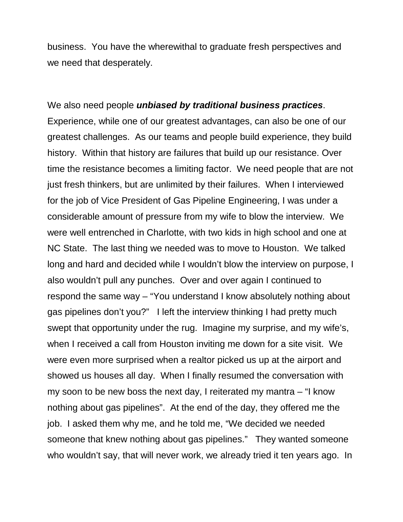business. You have the wherewithal to graduate fresh perspectives and we need that desperately.

We also need people *unbiased by traditional business practices*. Experience, while one of our greatest advantages, can also be one of our greatest challenges. As our teams and people build experience, they build history. Within that history are failures that build up our resistance. Over time the resistance becomes a limiting factor. We need people that are not just fresh thinkers, but are unlimited by their failures. When I interviewed for the job of Vice President of Gas Pipeline Engineering, I was under a considerable amount of pressure from my wife to blow the interview. We were well entrenched in Charlotte, with two kids in high school and one at NC State. The last thing we needed was to move to Houston. We talked long and hard and decided while I wouldn't blow the interview on purpose, I also wouldn't pull any punches. Over and over again I continued to respond the same way – "You understand I know absolutely nothing about gas pipelines don't you?" I left the interview thinking I had pretty much swept that opportunity under the rug. Imagine my surprise, and my wife's, when I received a call from Houston inviting me down for a site visit. We were even more surprised when a realtor picked us up at the airport and showed us houses all day. When I finally resumed the conversation with my soon to be new boss the next day, I reiterated my mantra – "I know nothing about gas pipelines". At the end of the day, they offered me the job. I asked them why me, and he told me, "We decided we needed someone that knew nothing about gas pipelines." They wanted someone who wouldn't say, that will never work, we already tried it ten years ago. In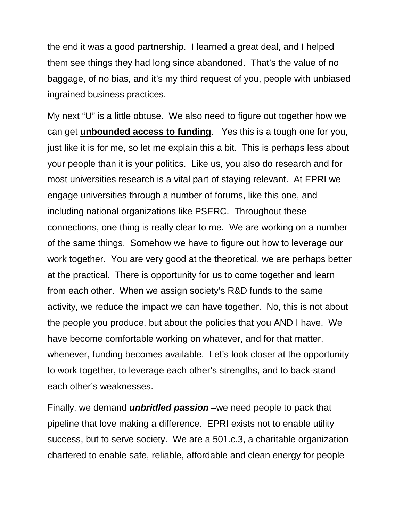the end it was a good partnership. I learned a great deal, and I helped them see things they had long since abandoned. That's the value of no baggage, of no bias, and it's my third request of you, people with unbiased ingrained business practices.

My next "U" is a little obtuse. We also need to figure out together how we can get **unbounded access to funding**. Yes this is a tough one for you, just like it is for me, so let me explain this a bit. This is perhaps less about your people than it is your politics. Like us, you also do research and for most universities research is a vital part of staying relevant. At EPRI we engage universities through a number of forums, like this one, and including national organizations like PSERC. Throughout these connections, one thing is really clear to me. We are working on a number of the same things. Somehow we have to figure out how to leverage our work together. You are very good at the theoretical, we are perhaps better at the practical. There is opportunity for us to come together and learn from each other. When we assign society's R&D funds to the same activity, we reduce the impact we can have together. No, this is not about the people you produce, but about the policies that you AND I have. We have become comfortable working on whatever, and for that matter, whenever, funding becomes available. Let's look closer at the opportunity to work together, to leverage each other's strengths, and to back-stand each other's weaknesses.

Finally, we demand *unbridled passion* –we need people to pack that pipeline that love making a difference. EPRI exists not to enable utility success, but to serve society. We are a 501.c.3, a charitable organization chartered to enable safe, reliable, affordable and clean energy for people